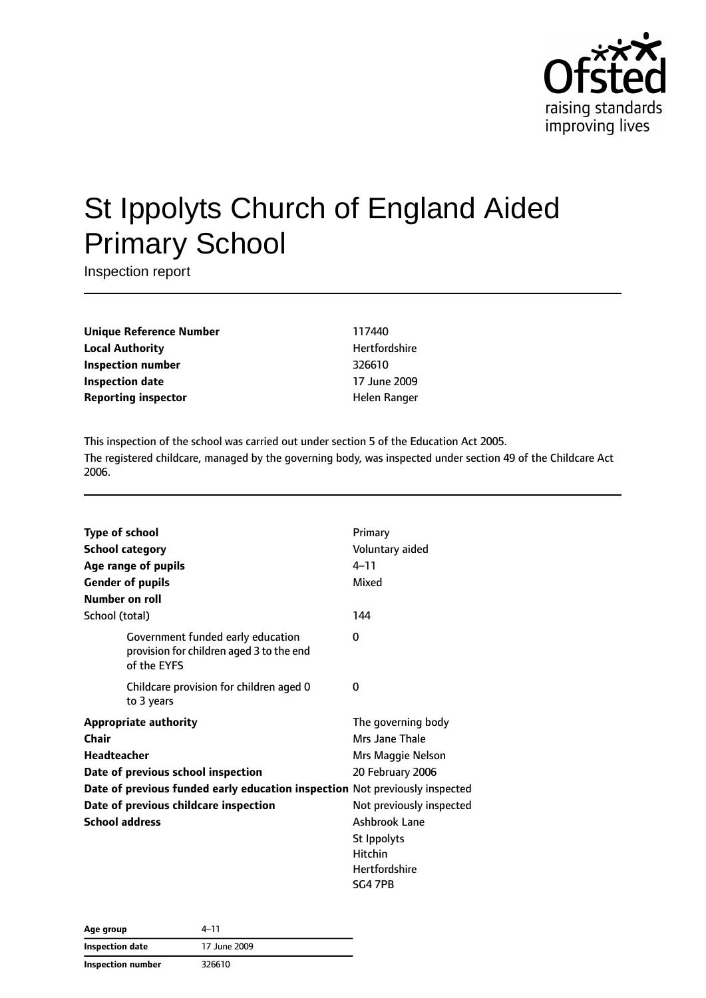

# St Ippolyts Church of England Aided Primary School

Inspection report

**Unique Reference Number** 117440 **Local Authority Material Authority Hertfordshire Inspection number** 326610 **Inspection date** 17 June 2009 **Reporting inspector and a structure Reporting** inspector

This inspection of the school was carried out under section 5 of the Education Act 2005. The registered childcare, managed by the governing body, was inspected under section 49 of the Childcare Act 2006.

| <b>Type of school</b>  |                                                                                              | Primary                  |
|------------------------|----------------------------------------------------------------------------------------------|--------------------------|
| <b>School category</b> |                                                                                              | Voluntary aided          |
|                        | Age range of pupils                                                                          | $4 - 11$                 |
|                        | <b>Gender of pupils</b>                                                                      | Mixed                    |
| Number on roll         |                                                                                              |                          |
| School (total)         |                                                                                              | 144                      |
|                        | Government funded early education<br>provision for children aged 3 to the end<br>of the EYFS | 0                        |
|                        | Childcare provision for children aged 0<br>to 3 years                                        | 0                        |
|                        | <b>Appropriate authority</b>                                                                 | The governing body       |
| Chair                  |                                                                                              | Mrs Jane Thale           |
| Headteacher            |                                                                                              | Mrs Maggie Nelson        |
|                        | Date of previous school inspection                                                           | 20 February 2006         |
|                        | Date of previous funded early education inspection Not previously inspected                  |                          |
|                        | Date of previous childcare inspection                                                        | Not previously inspected |
| <b>School address</b>  |                                                                                              | Ashbrook Lane            |
|                        |                                                                                              | St Ippolyts              |
|                        |                                                                                              | Hitchin                  |
|                        |                                                                                              | Hertfordshire            |
|                        |                                                                                              | SG4 7PB                  |

| Age group         | 4–11         |  |
|-------------------|--------------|--|
| Inspection date   | 17 June 2009 |  |
| Inspection number | 326610       |  |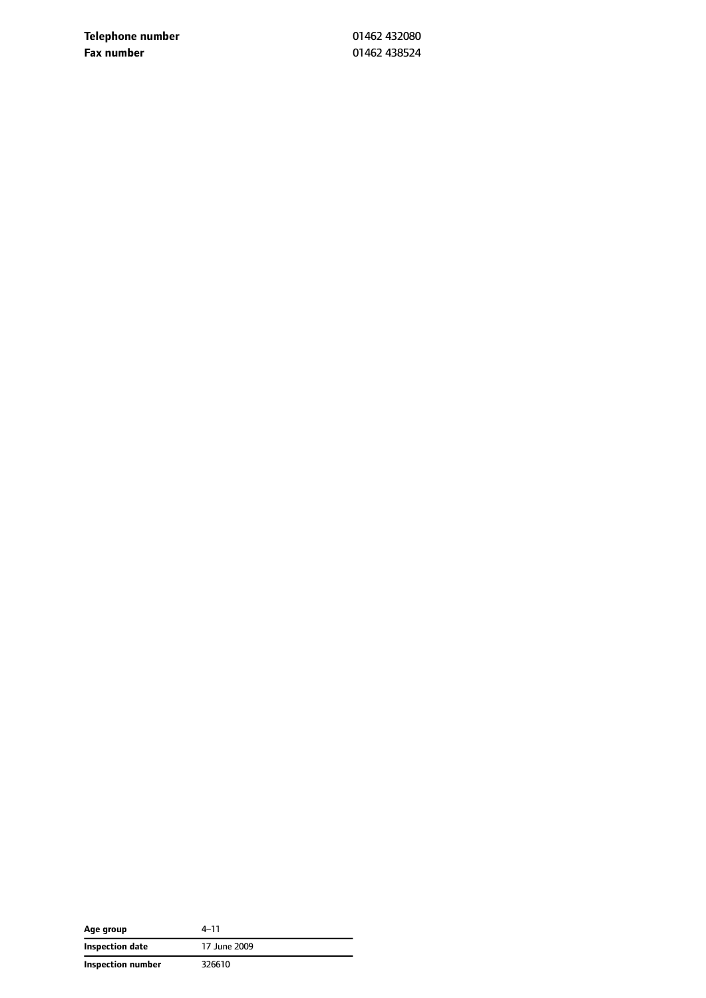**Telephone number** 01462 432080 **Fax number** 01462 438524

| Age group         | 4–11         |
|-------------------|--------------|
| Inspection date   | 17 June 2009 |
| Inspection number | 326610       |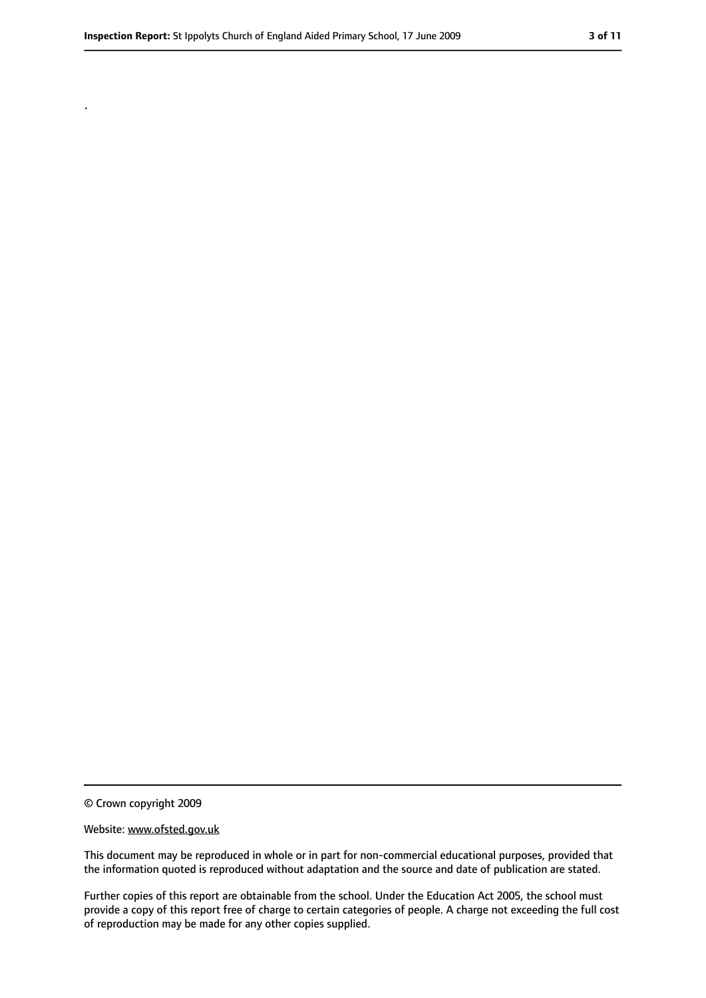.

<sup>©</sup> Crown copyright 2009

Website: www.ofsted.gov.uk

This document may be reproduced in whole or in part for non-commercial educational purposes, provided that the information quoted is reproduced without adaptation and the source and date of publication are stated.

Further copies of this report are obtainable from the school. Under the Education Act 2005, the school must provide a copy of this report free of charge to certain categories of people. A charge not exceeding the full cost of reproduction may be made for any other copies supplied.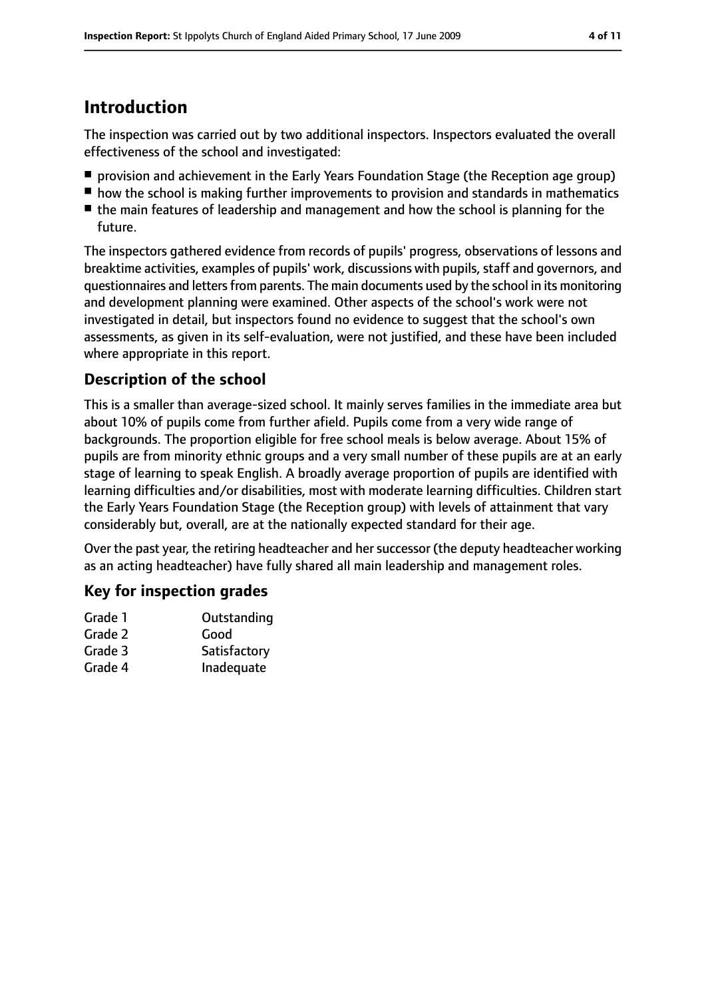# **Introduction**

The inspection was carried out by two additional inspectors. Inspectors evaluated the overall effectiveness of the school and investigated:

- provision and achievement in the Early Years Foundation Stage (the Reception age group)
- how the school is making further improvements to provision and standards in mathematics
- the main features of leadership and management and how the school is planning for the future.

The inspectors gathered evidence from records of pupils' progress, observations of lessons and breaktime activities, examples of pupils' work, discussions with pupils, staff and governors, and questionnaires and lettersfrom parents. The main documents used by the school in its monitoring and development planning were examined. Other aspects of the school's work were not investigated in detail, but inspectors found no evidence to suggest that the school's own assessments, as given in its self-evaluation, were not justified, and these have been included where appropriate in this report.

#### **Description of the school**

This is a smaller than average-sized school. It mainly serves families in the immediate area but about 10% of pupils come from further afield. Pupils come from a very wide range of backgrounds. The proportion eligible for free school meals is below average. About 15% of pupils are from minority ethnic groups and a very small number of these pupils are at an early stage of learning to speak English. A broadly average proportion of pupils are identified with learning difficulties and/or disabilities, most with moderate learning difficulties. Children start the Early Years Foundation Stage (the Reception group) with levels of attainment that vary considerably but, overall, are at the nationally expected standard for their age.

Over the past year, the retiring headteacher and her successor (the deputy headteacher working as an acting headteacher) have fully shared all main leadership and management roles.

#### **Key for inspection grades**

| Good         |
|--------------|
| Satisfactory |
| Inadequate   |
|              |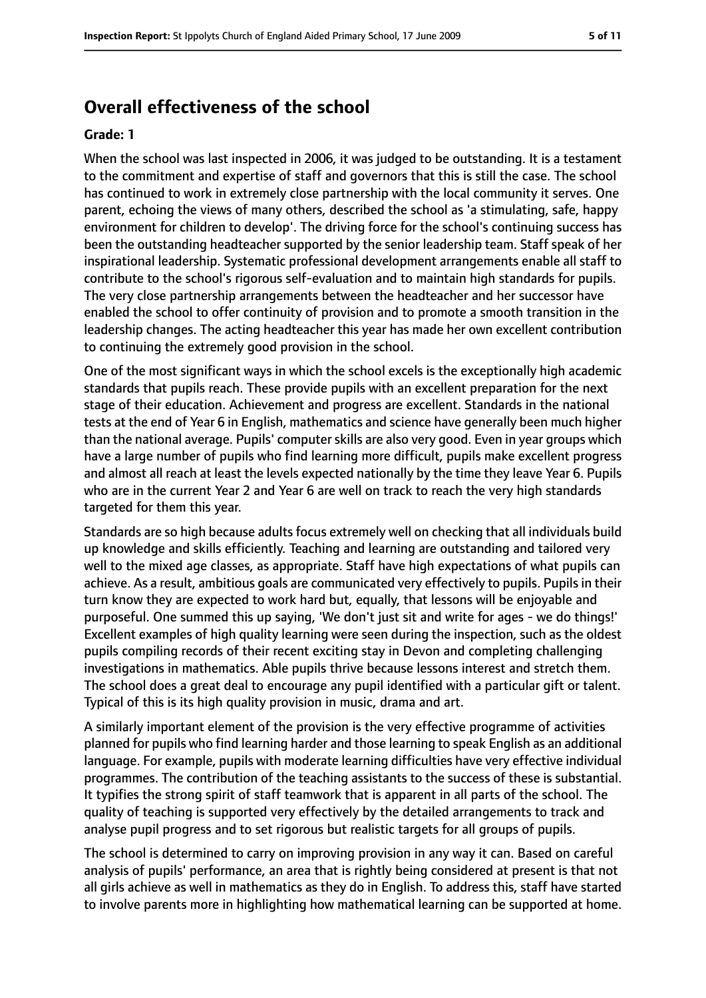## **Overall effectiveness of the school**

#### **Grade: 1**

When the school was last inspected in 2006, it was judged to be outstanding. It is a testament to the commitment and expertise of staff and governors that this is still the case. The school has continued to work in extremely close partnership with the local community it serves. One parent, echoing the views of many others, described the school as 'a stimulating, safe, happy environment for children to develop'. The driving force for the school's continuing success has been the outstanding headteacher supported by the senior leadership team. Staff speak of her inspirational leadership. Systematic professional development arrangements enable all staff to contribute to the school's rigorous self-evaluation and to maintain high standards for pupils. The very close partnership arrangements between the headteacher and her successor have enabled the school to offer continuity of provision and to promote a smooth transition in the leadership changes. The acting headteacher this year has made her own excellent contribution to continuing the extremely good provision in the school.

One of the most significant ways in which the school excels is the exceptionally high academic standards that pupils reach. These provide pupils with an excellent preparation for the next stage of their education. Achievement and progress are excellent. Standards in the national tests at the end of Year 6 in English, mathematics and science have generally been much higher than the national average. Pupils' computer skills are also very good. Even in year groups which have a large number of pupils who find learning more difficult, pupils make excellent progress and almost all reach at least the levels expected nationally by the time they leave Year 6. Pupils who are in the current Year 2 and Year 6 are well on track to reach the very high standards targeted for them this year.

Standards are so high because adults focus extremely well on checking that all individuals build up knowledge and skills efficiently. Teaching and learning are outstanding and tailored very well to the mixed age classes, as appropriate. Staff have high expectations of what pupils can achieve. As a result, ambitious goals are communicated very effectively to pupils. Pupils in their turn know they are expected to work hard but, equally, that lessons will be enjoyable and purposeful. One summed this up saying, 'We don't just sit and write for ages - we do things!' Excellent examples of high quality learning were seen during the inspection, such as the oldest pupils compiling records of their recent exciting stay in Devon and completing challenging investigations in mathematics. Able pupils thrive because lessons interest and stretch them. The school does a great deal to encourage any pupil identified with a particular gift or talent. Typical of this is its high quality provision in music, drama and art.

A similarly important element of the provision is the very effective programme of activities planned for pupils who find learning harder and those learning to speak English as an additional language. For example, pupils with moderate learning difficulties have very effective individual programmes. The contribution of the teaching assistants to the success of these is substantial. It typifies the strong spirit of staff teamwork that is apparent in all parts of the school. The quality of teaching is supported very effectively by the detailed arrangements to track and analyse pupil progress and to set rigorous but realistic targets for all groups of pupils.

The school is determined to carry on improving provision in any way it can. Based on careful analysis of pupils' performance, an area that is rightly being considered at present is that not all girls achieve as well in mathematics as they do in English. To address this, staff have started to involve parents more in highlighting how mathematical learning can be supported at home.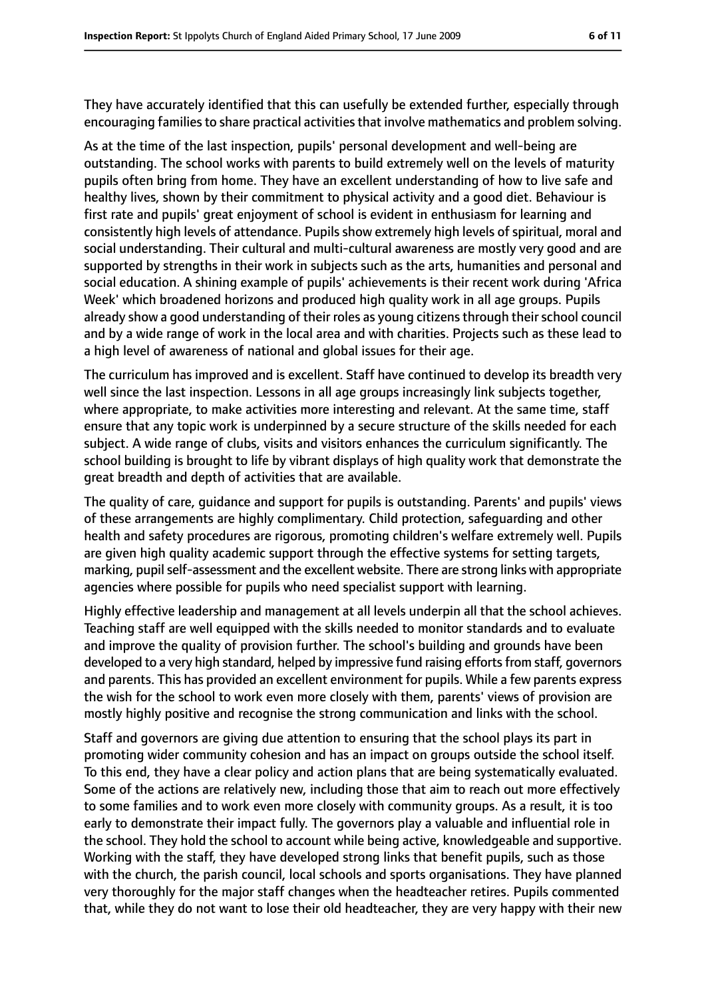They have accurately identified that this can usefully be extended further, especially through encouraging families to share practical activities that involve mathematics and problem solving.

As at the time of the last inspection, pupils' personal development and well-being are outstanding. The school works with parents to build extremely well on the levels of maturity pupils often bring from home. They have an excellent understanding of how to live safe and healthy lives, shown by their commitment to physical activity and a good diet. Behaviour is first rate and pupils' great enjoyment of school is evident in enthusiasm for learning and consistently high levels of attendance. Pupils show extremely high levels of spiritual, moral and social understanding. Their cultural and multi-cultural awareness are mostly very good and are supported by strengths in their work in subjects such as the arts, humanities and personal and social education. A shining example of pupils' achievements is their recent work during 'Africa Week' which broadened horizons and produced high quality work in all age groups. Pupils already show a good understanding of their roles as young citizens through their school council and by a wide range of work in the local area and with charities. Projects such as these lead to a high level of awareness of national and global issues for their age.

The curriculum has improved and is excellent. Staff have continued to develop its breadth very well since the last inspection. Lessons in all age groups increasingly link subjects together, where appropriate, to make activities more interesting and relevant. At the same time, staff ensure that any topic work is underpinned by a secure structure of the skills needed for each subject. A wide range of clubs, visits and visitors enhances the curriculum significantly. The school building is brought to life by vibrant displays of high quality work that demonstrate the great breadth and depth of activities that are available.

The quality of care, guidance and support for pupils is outstanding. Parents' and pupils' views of these arrangements are highly complimentary. Child protection, safeguarding and other health and safety procedures are rigorous, promoting children's welfare extremely well. Pupils are given high quality academic support through the effective systems for setting targets, marking, pupil self-assessment and the excellent website. There are strong links with appropriate agencies where possible for pupils who need specialist support with learning.

Highly effective leadership and management at all levels underpin all that the school achieves. Teaching staff are well equipped with the skills needed to monitor standards and to evaluate and improve the quality of provision further. The school's building and grounds have been developed to a very high standard, helped by impressive fund raising efforts from staff, governors and parents. This has provided an excellent environment for pupils. While a few parents express the wish for the school to work even more closely with them, parents' views of provision are mostly highly positive and recognise the strong communication and links with the school.

Staff and governors are giving due attention to ensuring that the school plays its part in promoting wider community cohesion and has an impact on groups outside the school itself. To this end, they have a clear policy and action plans that are being systematically evaluated. Some of the actions are relatively new, including those that aim to reach out more effectively to some families and to work even more closely with community groups. As a result, it is too early to demonstrate their impact fully. The governors play a valuable and influential role in the school. They hold the school to account while being active, knowledgeable and supportive. Working with the staff, they have developed strong links that benefit pupils, such as those with the church, the parish council, local schools and sports organisations. They have planned very thoroughly for the major staff changes when the headteacher retires. Pupils commented that, while they do not want to lose their old headteacher, they are very happy with their new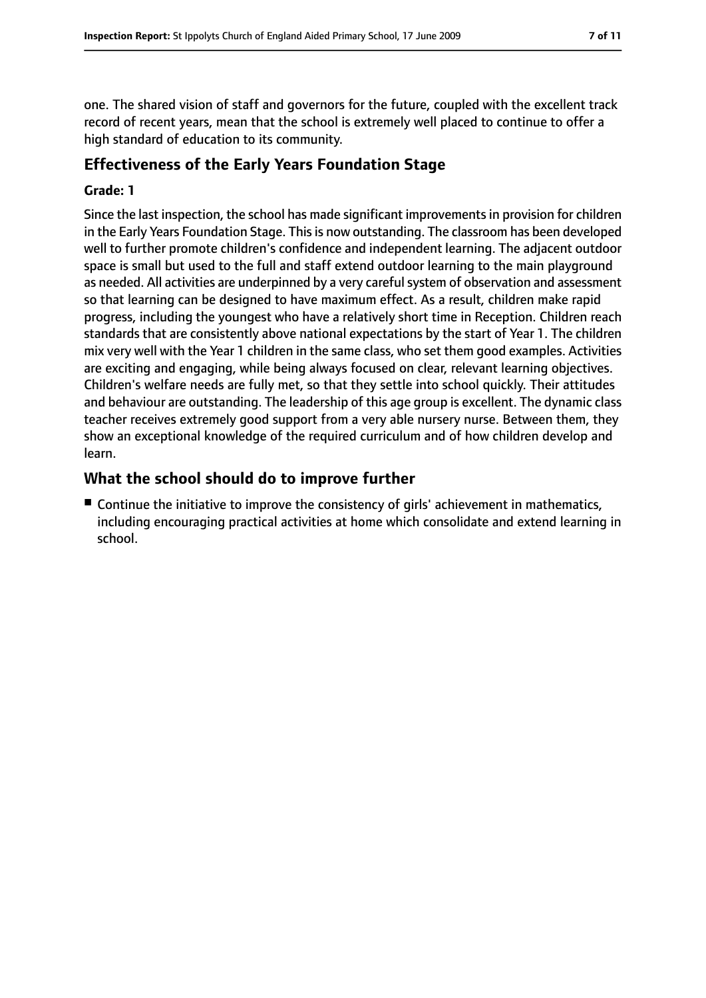one. The shared vision of staff and governors for the future, coupled with the excellent track record of recent years, mean that the school is extremely well placed to continue to offer a high standard of education to its community.

#### **Effectiveness of the Early Years Foundation Stage**

#### **Grade: 1**

Since the last inspection, the school has made significant improvementsin provision for children in the Early Years Foundation Stage. This is now outstanding. The classroom has been developed well to further promote children's confidence and independent learning. The adjacent outdoor space is small but used to the full and staff extend outdoor learning to the main playground as needed. All activities are underpinned by a very carefulsystem of observation and assessment so that learning can be designed to have maximum effect. As a result, children make rapid progress, including the youngest who have a relatively short time in Reception. Children reach standards that are consistently above national expectations by the start of Year 1. The children mix very well with the Year 1 children in the same class, who set them good examples. Activities are exciting and engaging, while being always focused on clear, relevant learning objectives. Children's welfare needs are fully met, so that they settle into school quickly. Their attitudes and behaviour are outstanding. The leadership of this age group is excellent. The dynamic class teacher receives extremely good support from a very able nursery nurse. Between them, they show an exceptional knowledge of the required curriculum and of how children develop and learn.

#### **What the school should do to improve further**

■ Continue the initiative to improve the consistency of girls' achievement in mathematics, including encouraging practical activities at home which consolidate and extend learning in school.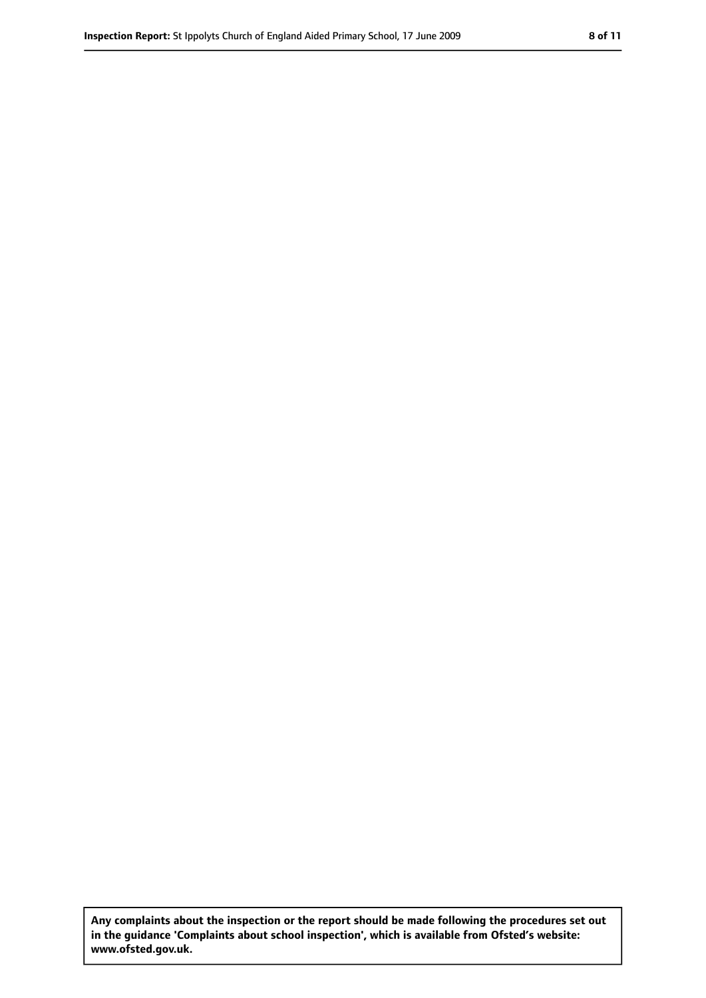**Any complaints about the inspection or the report should be made following the procedures set out in the guidance 'Complaints about school inspection', which is available from Ofsted's website: www.ofsted.gov.uk.**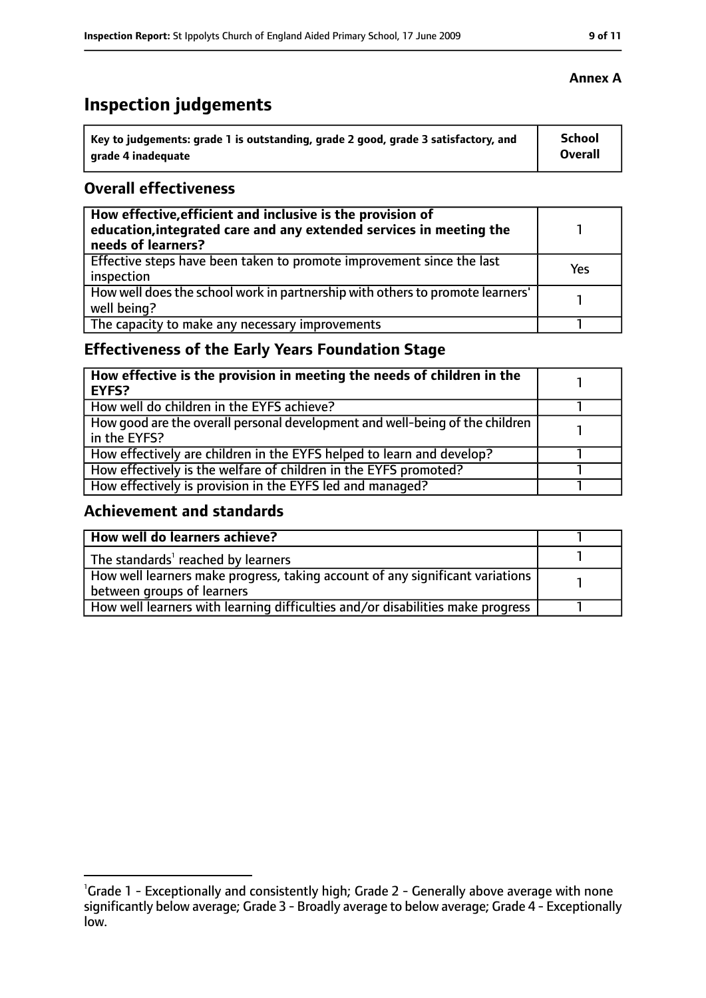# **Inspection judgements**

| \ Key to judgements: grade 1 is outstanding, grade 2 good, grade 3 satisfactory, and | <b>School</b>  |
|--------------------------------------------------------------------------------------|----------------|
| arade 4 inadequate                                                                   | <b>Overall</b> |

#### **Overall effectiveness**

| How effective, efficient and inclusive is the provision of<br>education, integrated care and any extended services in meeting the<br>needs of learners? |     |
|---------------------------------------------------------------------------------------------------------------------------------------------------------|-----|
| Effective steps have been taken to promote improvement since the last<br>inspection                                                                     | Yes |
| How well does the school work in partnership with others to promote learners'<br>well being?                                                            |     |
| The capacity to make any necessary improvements                                                                                                         |     |

## **Effectiveness of the Early Years Foundation Stage**

| How effective is the provision in meeting the needs of children in the<br>l EYFS?              |  |
|------------------------------------------------------------------------------------------------|--|
| How well do children in the EYFS achieve?                                                      |  |
| How good are the overall personal development and well-being of the children<br>I in the EYFS? |  |
| How effectively are children in the EYFS helped to learn and develop?                          |  |
| How effectively is the welfare of children in the EYFS promoted?                               |  |
| How effectively is provision in the EYFS led and managed?                                      |  |

#### **Achievement and standards**

| How well do learners achieve?                                                               |  |
|---------------------------------------------------------------------------------------------|--|
| $\vert$ The standards <sup>1</sup> reached by learners                                      |  |
| $\mid$ How well learners make progress, taking account of any significant variations $\mid$ |  |
| between groups of learners                                                                  |  |
| How well learners with learning difficulties and/or disabilities make progress              |  |

#### **Annex A**

<sup>&</sup>lt;sup>1</sup>Grade 1 - Exceptionally and consistently high; Grade 2 - Generally above average with none significantly below average; Grade 3 - Broadly average to below average; Grade 4 - Exceptionally low.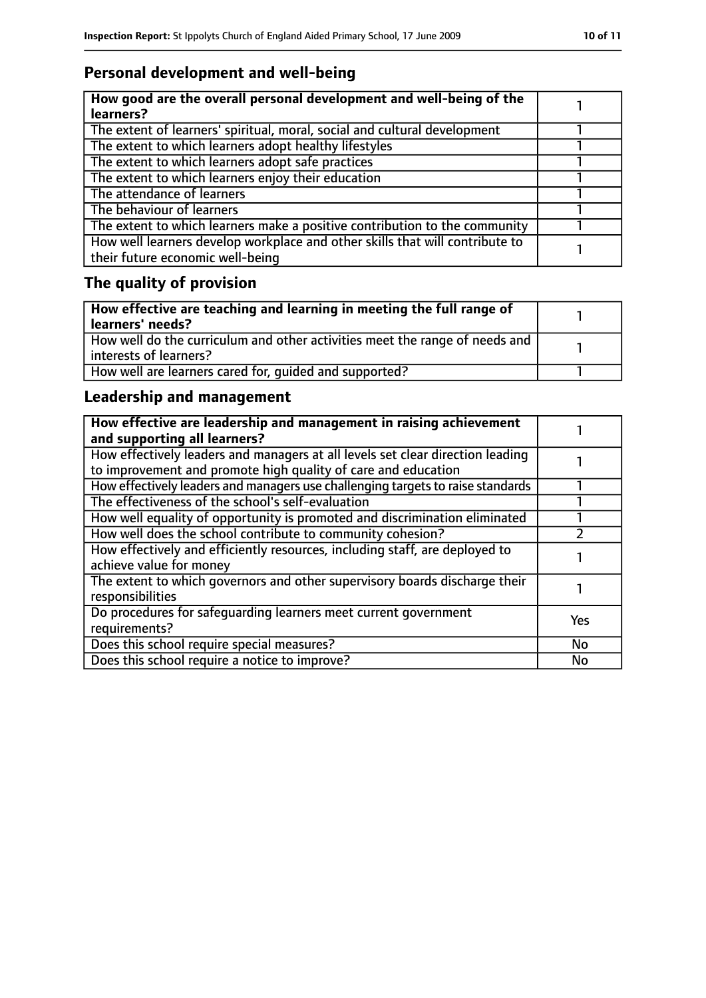## **Personal development and well-being**

| How good are the overall personal development and well-being of the<br>learners?                                 |  |
|------------------------------------------------------------------------------------------------------------------|--|
| The extent of learners' spiritual, moral, social and cultural development                                        |  |
| The extent to which learners adopt healthy lifestyles                                                            |  |
| The extent to which learners adopt safe practices                                                                |  |
| The extent to which learners enjoy their education                                                               |  |
| The attendance of learners                                                                                       |  |
| The behaviour of learners                                                                                        |  |
| The extent to which learners make a positive contribution to the community                                       |  |
| How well learners develop workplace and other skills that will contribute to<br>their future economic well-being |  |

# **The quality of provision**

| How effective are teaching and learning in meeting the full range of<br>learners' needs?              |  |
|-------------------------------------------------------------------------------------------------------|--|
| How well do the curriculum and other activities meet the range of needs and<br>interests of learners? |  |
| How well are learners cared for, quided and supported?                                                |  |

## **Leadership and management**

| How effective are leadership and management in raising achievement<br>and supporting all learners?                                              |     |
|-------------------------------------------------------------------------------------------------------------------------------------------------|-----|
| How effectively leaders and managers at all levels set clear direction leading<br>to improvement and promote high quality of care and education |     |
| How effectively leaders and managers use challenging targets to raise standards                                                                 |     |
| The effectiveness of the school's self-evaluation                                                                                               |     |
| How well equality of opportunity is promoted and discrimination eliminated                                                                      |     |
| How well does the school contribute to community cohesion?                                                                                      |     |
| How effectively and efficiently resources, including staff, are deployed to<br>achieve value for money                                          |     |
| The extent to which governors and other supervisory boards discharge their<br>responsibilities                                                  |     |
| Do procedures for safequarding learners meet current government<br>requirements?                                                                | Yes |
| Does this school require special measures?                                                                                                      | No  |
| Does this school require a notice to improve?                                                                                                   | No  |